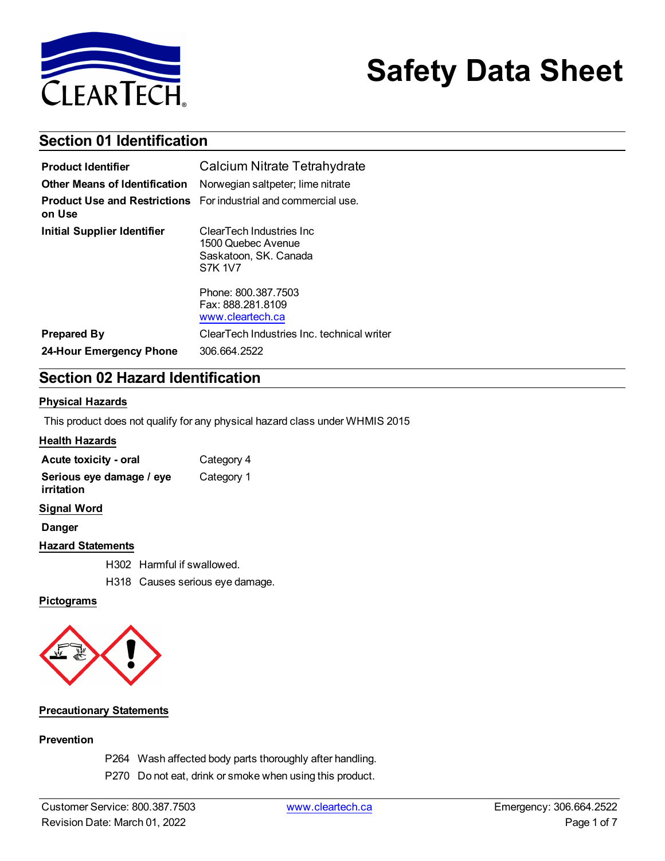

# **Safety Data Sheet**

# **Section 01 Identification**

| <b>Product Identifier</b>            | Calcium Nitrate Tetrahydrate                                                               |  |
|--------------------------------------|--------------------------------------------------------------------------------------------|--|
| <b>Other Means of Identification</b> | Norwegian saltpeter; lime nitrate                                                          |  |
| on Use                               | <b>Product Use and Restrictions</b> For industrial and commercial use.                     |  |
| <b>Initial Supplier Identifier</b>   | ClearTech Industries Inc.<br>1500 Quebec Avenue<br>Saskatoon, SK. Canada<br><b>S7K 1V7</b> |  |
|                                      | Phone: 800.387.7503<br>Fax: 888.281.8109<br>www.cleartech.ca                               |  |
| <b>Prepared By</b>                   | ClearTech Industries Inc. technical writer                                                 |  |
| 24-Hour Emergency Phone              | 306.664.2522                                                                               |  |

# **Section 02 Hazard Identification**

#### **Physical Hazards**

This product does not qualify for any physical hazard class under WHMIS 2015

## **Health Hazards**

| Acute toxicity - oral                  | Category 4 |
|----------------------------------------|------------|
| Serious eye damage / eye<br>irritation | Category 1 |
| <b>Signal Word</b>                     |            |
| <b>Danger</b>                          |            |
| <b>Hazard Statements</b>               |            |
| H302 Harmful if swallowed.             |            |

H318 Causes serious eye damage.

#### **Pictograms**



#### **Precautionary Statements**

#### **Prevention**

P264 Wash affected body parts thoroughly after handling.

P270 Do not eat, drink or smoke when using this product.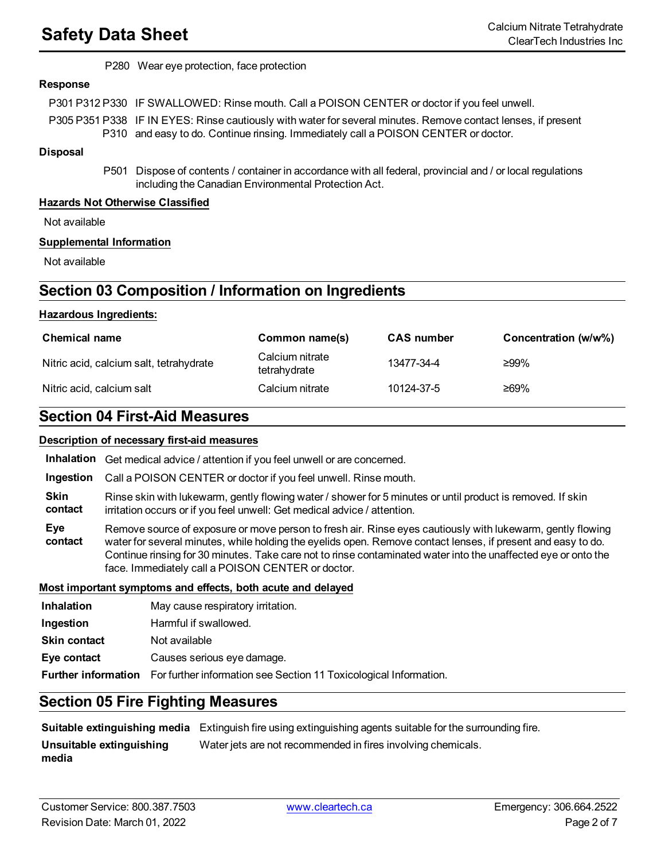P280 Wear eye protection, face protection

#### **Response**

P301 P312 P330 IF SWALLOWED: Rinse mouth. Call a POISON CENTER or doctor if you feel unwell.

P305 P351 P338 IF IN EYES: Rinse cautiously with water for several minutes. Remove contact lenses, if present P310 and easy to do. Continue rinsing. Immediately call a POISON CENTER or doctor.

#### **Disposal**

P501 Dispose of contents / container in accordance with all federal, provincial and / or local regulations including the Canadian Environmental Protection Act.

#### **Hazards Not Otherwise Classified**

Not available

#### **Supplemental Information**

Not available

# **Section 03 Composition / Information on Ingredients**

#### **Hazardous Ingredients:**

| <b>Chemical name</b>                    | Common name(s)                  | <b>CAS number</b> | Concentration (w/w%) |
|-----------------------------------------|---------------------------------|-------------------|----------------------|
| Nitric acid, calcium salt, tetrahydrate | Calcium nitrate<br>tetrahydrate | 13477-34-4        | ≥99%                 |
| Nitric acid, calcium salt               | Calcium nitrate                 | 10124-37-5        | ≥69%                 |

# **Section 04 First-Aid Measures**

#### **Description of necessary first-aid measures**

**Inhalation** Get medical advice / attention if you feel unwell or are concerned.

**Ingestion** Call a POISON CENTER or doctor if you feel unwell. Rinse mouth.

**Skin contact** Rinse skin with lukewarm, gently flowing water / shower for 5 minutes or until product is removed. If skin irritation occurs or if you feel unwell: Get medical advice / attention.

**Eye contact** Remove source of exposure or move person to fresh air. Rinse eyes cautiously with lukewarm, gently flowing water for several minutes, while holding the eyelids open. Remove contact lenses, if present and easy to do. Continue rinsing for 30 minutes. Take care not to rinse contaminated water into the unaffected eye or onto the face. Immediately call a POISON CENTER or doctor.

#### **Most important symptoms and effects, both acute and delayed**

| <b>Inhalation</b>   | May cause respiratory irritation.                                                            |
|---------------------|----------------------------------------------------------------------------------------------|
| Ingestion           | Harmful if swallowed.                                                                        |
| <b>Skin contact</b> | Not available                                                                                |
| Eye contact         | Causes serious eye damage.                                                                   |
|                     | <b>Further information</b> For further information see Section 11 Toxicological Information. |
|                     |                                                                                              |

# **Section 05 Fire Fighting Measures**

**Suitable extinguishing media** Extinguish fire using extinguishing agents suitable for the surrounding fire. **Unsuitable extinguishing media** Water jets are not recommended in fires involving chemicals.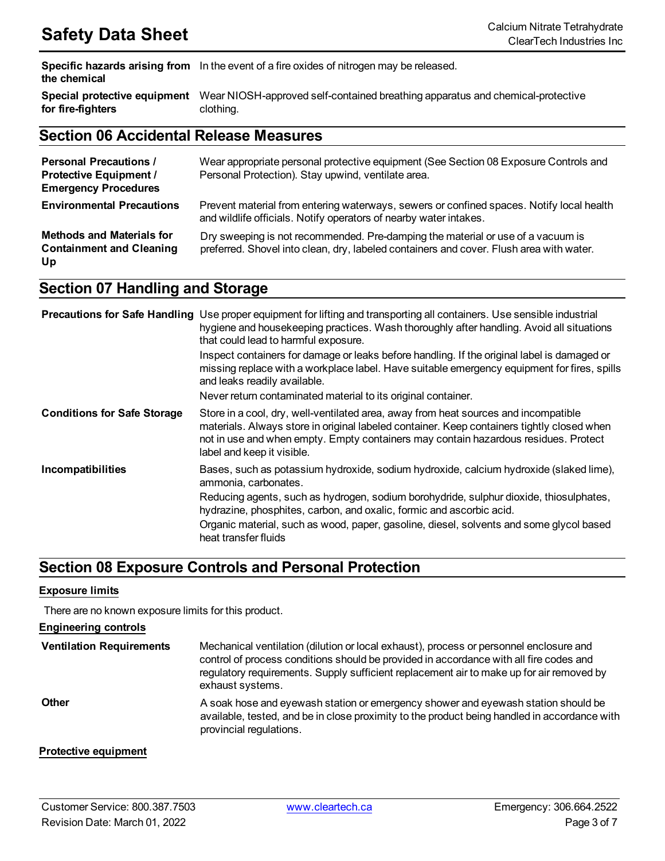**Specific hazards arising from** In the event of a fire oxides of nitrogen may be released. **the chemical**

**Special protective equipment** Wear NIOSH-approved self-contained breathing apparatus and chemical-protective **for fire-fighters** clothing.

# **Section 06 Accidental Release Measures**

| <b>Personal Precautions /</b><br><b>Protective Equipment /</b><br><b>Emergency Procedures</b> | Wear appropriate personal protective equipment (See Section 08 Exposure Controls and<br>Personal Protection). Stay upwind, ventilate area.                                 |
|-----------------------------------------------------------------------------------------------|----------------------------------------------------------------------------------------------------------------------------------------------------------------------------|
| <b>Environmental Precautions</b>                                                              | Prevent material from entering waterways, sewers or confined spaces. Notify local health<br>and wildlife officials. Notify operators of nearby water intakes.              |
| <b>Methods and Materials for</b><br><b>Containment and Cleaning</b><br>Up                     | Dry sweeping is not recommended. Pre-damping the material or use of a vacuum is<br>preferred. Shovel into clean, dry, labeled containers and cover. Flush area with water. |

# **Section 07 Handling and Storage**

|                                    | Precautions for Safe Handling Use proper equipment for lifting and transporting all containers. Use sensible industrial<br>hygiene and housekeeping practices. Wash thoroughly after handling. Avoid all situations<br>that could lead to harmful exposure.                                            |
|------------------------------------|--------------------------------------------------------------------------------------------------------------------------------------------------------------------------------------------------------------------------------------------------------------------------------------------------------|
|                                    | Inspect containers for damage or leaks before handling. If the original label is damaged or<br>missing replace with a workplace label. Have suitable emergency equipment for fires, spills<br>and leaks readily available.                                                                             |
|                                    | Never return contaminated material to its original container.                                                                                                                                                                                                                                          |
| <b>Conditions for Safe Storage</b> | Store in a cool, dry, well-ventilated area, away from heat sources and incompatible<br>materials. Always store in original labeled container. Keep containers tightly closed when<br>not in use and when empty. Empty containers may contain hazardous residues. Protect<br>label and keep it visible. |
| Incompatibilities                  | Bases, such as potassium hydroxide, sodium hydroxide, calcium hydroxide (slaked lime),<br>ammonia, carbonates.                                                                                                                                                                                         |
|                                    | Reducing agents, such as hydrogen, sodium borohydride, sulphur dioxide, thiosulphates,<br>hydrazine, phosphites, carbon, and oxalic, formic and ascorbic acid.                                                                                                                                         |
|                                    | Organic material, such as wood, paper, gasoline, diesel, solvents and some glycol based<br>heat transfer fluids                                                                                                                                                                                        |

# **Section 08 Exposure Controls and Personal Protection**

## **Exposure limits**

There are no known exposure limits for this product.

## **Engineering controls**

| <b>Ventilation Requirements</b> | Mechanical ventilation (dilution or local exhaust), process or personnel enclosure and<br>control of process conditions should be provided in accordance with all fire codes and<br>regulatory requirements. Supply sufficient replacement air to make up for air removed by<br>exhaust systems. |
|---------------------------------|--------------------------------------------------------------------------------------------------------------------------------------------------------------------------------------------------------------------------------------------------------------------------------------------------|
| <b>Other</b>                    | A soak hose and eyewash station or emergency shower and eyewash station should be<br>available, tested, and be in close proximity to the product being handled in accordance with<br>provincial regulations.                                                                                     |
| _____                           |                                                                                                                                                                                                                                                                                                  |

## **Protective equipment**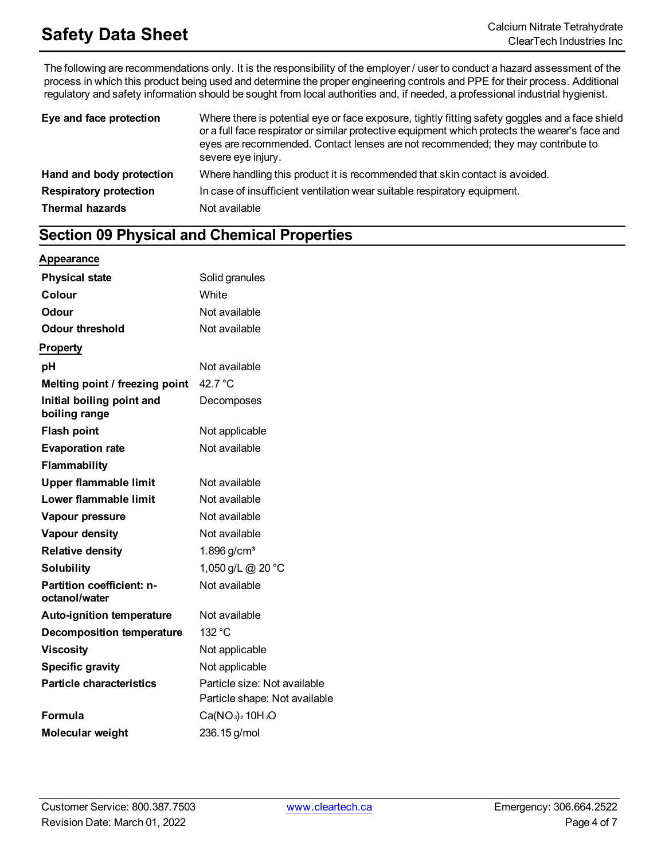The following are recommendations only. It is the responsibility of the employer / user to conduct a hazard assessment of the process in which this product being used and determine the proper engineering controls and PPE for their process. Additional regulatory and safety information should be sought from local authorities and, if needed, a professional industrial hygienist.

| Eye and face protection       | Where there is potential eye or face exposure, tightly fitting safety goggles and a face shield<br>or a full face respirator or similar protective equipment which protects the wearer's face and<br>eyes are recommended. Contact lenses are not recommended; they may contribute to<br>severe eye injury. |  |  |
|-------------------------------|-------------------------------------------------------------------------------------------------------------------------------------------------------------------------------------------------------------------------------------------------------------------------------------------------------------|--|--|
| Hand and body protection      | Where handling this product it is recommended that skin contact is avoided.                                                                                                                                                                                                                                 |  |  |
| <b>Respiratory protection</b> | In case of insufficient ventilation wear suitable respiratory equipment.                                                                                                                                                                                                                                    |  |  |
| <b>Thermal hazards</b>        | Not available                                                                                                                                                                                                                                                                                               |  |  |

# **Section 09 Physical and Chemical Properties**

## **Appearance**

| <b>Physical state</b>                      | Solid granules                                                |
|--------------------------------------------|---------------------------------------------------------------|
| Colour                                     | White                                                         |
| Odour                                      | Not available                                                 |
| <b>Odour threshold</b>                     | Not available                                                 |
| <b>Property</b>                            |                                                               |
| рH                                         | Not available                                                 |
| Melting point / freezing point             | 42.7 $\degree$ C                                              |
| Initial boiling point and<br>boiling range | Decomposes                                                    |
| <b>Flash point</b>                         | Not applicable                                                |
| <b>Evaporation rate</b>                    | Not available                                                 |
| <b>Flammability</b>                        |                                                               |
| <b>Upper flammable limit</b>               | Not available                                                 |
| Lower flammable limit                      | Not available                                                 |
| Vapour pressure                            | Not available                                                 |
| <b>Vapour density</b>                      | Not available                                                 |
| <b>Relative density</b>                    | 1.896 g/cm <sup>3</sup>                                       |
| <b>Solubility</b>                          | 1,050 g/L @ 20 °C                                             |
| Partition coefficient: n-<br>octanol/water | Not available                                                 |
| <b>Auto-ignition temperature</b>           | Not available                                                 |
| <b>Decomposition temperature</b>           | 132 °C                                                        |
| <b>Viscosity</b>                           | Not applicable                                                |
| <b>Specific gravity</b>                    | Not applicable                                                |
| <b>Particle characteristics</b>            | Particle size: Not available<br>Particle shape: Not available |
| <b>Formula</b>                             | $Ca(NO3)210H2O$                                               |
| Molecular weight                           | 236.15 g/mol                                                  |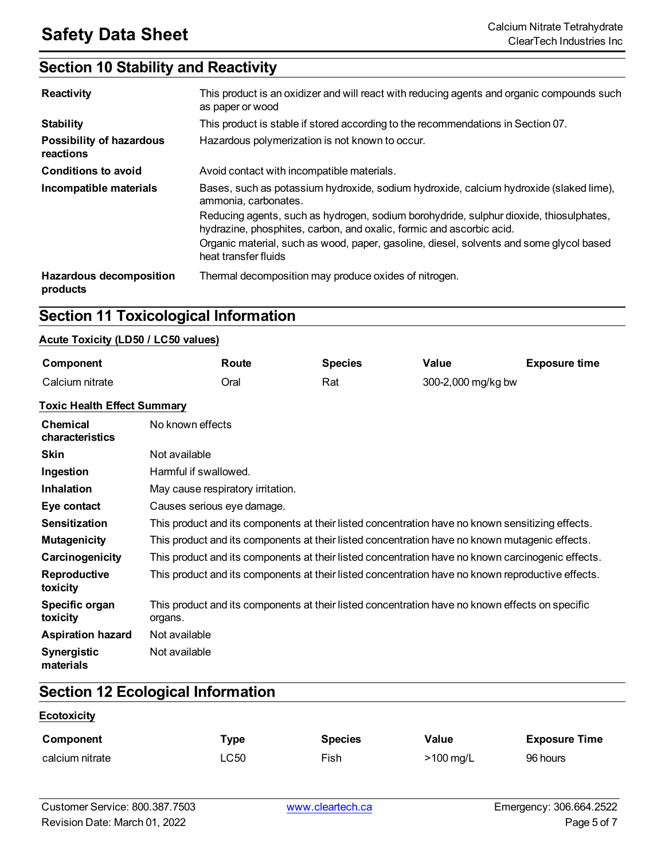# **Section 10 Stability and Reactivity**

| <b>Reactivity</b>                          | This product is an oxidizer and will react with reducing agents and organic compounds such<br>as paper or wood                                                 |
|--------------------------------------------|----------------------------------------------------------------------------------------------------------------------------------------------------------------|
| <b>Stability</b>                           | This product is stable if stored according to the recommendations in Section 07.                                                                               |
| Possibility of hazardous<br>reactions      | Hazardous polymerization is not known to occur.                                                                                                                |
| <b>Conditions to avoid</b>                 | Avoid contact with incompatible materials.                                                                                                                     |
| Incompatible materials                     | Bases, such as potassium hydroxide, sodium hydroxide, calcium hydroxide (slaked lime),<br>ammonia, carbonates.                                                 |
|                                            | Reducing agents, such as hydrogen, sodium borohydride, sulphur dioxide, thiosulphates,<br>hydrazine, phosphites, carbon, and oxalic, formic and ascorbic acid. |
|                                            | Organic material, such as wood, paper, gasoline, diesel, solvents and some glycol based<br>heat transfer fluids                                                |
| <b>Hazardous decomposition</b><br>products | Thermal decomposition may produce oxides of nitrogen.                                                                                                          |

# **Section 11 Toxicological Information**

# **Acute Toxicity (LD50 / LC50 values)**

| Component                          |                                                                                                            | Route                             | <b>Species</b> | Value              | <b>Exposure time</b> |
|------------------------------------|------------------------------------------------------------------------------------------------------------|-----------------------------------|----------------|--------------------|----------------------|
| Calcium nitrate                    |                                                                                                            | Oral                              | Rat            | 300-2,000 mg/kg bw |                      |
| <b>Toxic Health Effect Summary</b> |                                                                                                            |                                   |                |                    |                      |
| Chemical<br>characteristics        | No known effects                                                                                           |                                   |                |                    |                      |
| <b>Skin</b>                        | Not available                                                                                              |                                   |                |                    |                      |
| Ingestion                          | Harmful if swallowed.                                                                                      |                                   |                |                    |                      |
| <b>Inhalation</b>                  |                                                                                                            | May cause respiratory irritation. |                |                    |                      |
| Eye contact                        | Causes serious eye damage.                                                                                 |                                   |                |                    |                      |
| <b>Sensitization</b>               | This product and its components at their listed concentration have no known sensitizing effects.           |                                   |                |                    |                      |
| <b>Mutagenicity</b>                | This product and its components at their listed concentration have no known mutagenic effects.             |                                   |                |                    |                      |
| Carcinogenicity                    | This product and its components at their listed concentration have no known carcinogenic effects.          |                                   |                |                    |                      |
| Reproductive<br>toxicity           | This product and its components at their listed concentration have no known reproductive effects.          |                                   |                |                    |                      |
| Specific organ<br>toxicity         | This product and its components at their listed concentration have no known effects on specific<br>organs. |                                   |                |                    |                      |
| <b>Aspiration hazard</b>           | Not available                                                                                              |                                   |                |                    |                      |
| <b>Synergistic</b><br>materials    | Not available                                                                                              |                                   |                |                    |                      |

# **Section 12 Ecological Information**

# **Ecotoxicity**

| Component       | Туре | <b>Species</b> | Value               | <b>Exposure Time</b> |
|-----------------|------|----------------|---------------------|----------------------|
| calcium nitrate | LC50 | Fish           | $>100 \text{ mg/L}$ | 96 hours             |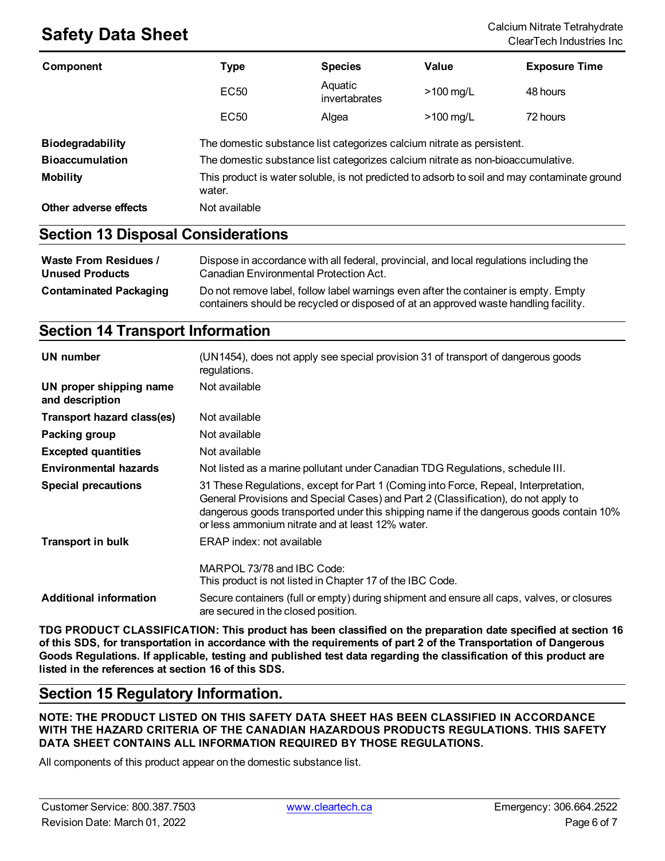| Component              | Type                                                                                                   | <b>Species</b>           | Value       | <b>Exposure Time</b> |
|------------------------|--------------------------------------------------------------------------------------------------------|--------------------------|-------------|----------------------|
|                        | <b>EC50</b>                                                                                            | Aquatic<br>invertabrates | $>100$ mg/L | 48 hours             |
|                        | EC <sub>50</sub>                                                                                       | Algea                    | $>100$ mg/L | 72 hours             |
| Biodegradability       | The domestic substance list categorizes calcium nitrate as persistent.                                 |                          |             |                      |
| <b>Bioaccumulation</b> | The domestic substance list categorizes calcium nitrate as non-bioaccumulative.                        |                          |             |                      |
| <b>Mobility</b>        | This product is water soluble, is not predicted to adsorb to soil and may contaminate ground<br>water. |                          |             |                      |
| Other adverse effects  | Not available                                                                                          |                          |             |                      |

# **Section 13 Disposal Considerations**

| Waste From Residues /         | Dispose in accordance with all federal, provincial, and local regulations including the                                                                                     |
|-------------------------------|-----------------------------------------------------------------------------------------------------------------------------------------------------------------------------|
| <b>Unused Products</b>        | Canadian Environmental Protection Act.                                                                                                                                      |
| <b>Contaminated Packaging</b> | Do not remove label, follow label warnings even after the container is empty. Empty<br>containers should be recycled or disposed of at an approved waste handling facility. |

# **Section 14 Transport Information**

| UN number                                  | (UN1454), does not apply see special provision 31 of transport of dangerous goods<br>regulations.                                                                                                                                                                                                                        |
|--------------------------------------------|--------------------------------------------------------------------------------------------------------------------------------------------------------------------------------------------------------------------------------------------------------------------------------------------------------------------------|
| UN proper shipping name<br>and description | Not available                                                                                                                                                                                                                                                                                                            |
| Transport hazard class(es)                 | Not available                                                                                                                                                                                                                                                                                                            |
| Packing group                              | Not available                                                                                                                                                                                                                                                                                                            |
| <b>Excepted quantities</b>                 | Not available                                                                                                                                                                                                                                                                                                            |
| <b>Environmental hazards</b>               | Not listed as a marine pollutant under Canadian TDG Regulations, schedule III.                                                                                                                                                                                                                                           |
| Special precautions                        | 31 These Regulations, except for Part 1 (Coming into Force, Repeal, Interpretation,<br>General Provisions and Special Cases) and Part 2 (Classification), do not apply to<br>dangerous goods transported under this shipping name if the dangerous goods contain 10%<br>or less ammonium nitrate and at least 12% water. |
| <b>Transport in bulk</b>                   | ERAP index: not available                                                                                                                                                                                                                                                                                                |
| <b>Additional information</b>              | MARPOL 73/78 and IBC Code:<br>This product is not listed in Chapter 17 of the IBC Code.<br>Secure containers (full or empty) during shipment and ensure all caps, valves, or closures                                                                                                                                    |
|                                            | are secured in the closed position.                                                                                                                                                                                                                                                                                      |

**TDG PRODUCT CLASSIFICATION: This product has been classified on the preparation date specified at section 16** of this SDS, for transportation in accordance with the requirements of part 2 of the Transportation of Dangerous Goods Regulations. If applicable, testing and published test data regarding the classification of this product are **listed in the references at section 16 of this SDS.**

# **Section 15 Regulatory Information.**

**NOTE: THE PRODUCT LISTED ON THIS SAFETY DATA SHEET HAS BEEN CLASSIFIED IN ACCORDANCE WITH THE HAZARD CRITERIA OF THE CANADIAN HAZARDOUS PRODUCTS REGULATIONS. THIS SAFETY DATA SHEET CONTAINS ALL INFORMATION REQUIRED BY THOSE REGULATIONS.**

All components of this product appear on the domestic substance list.